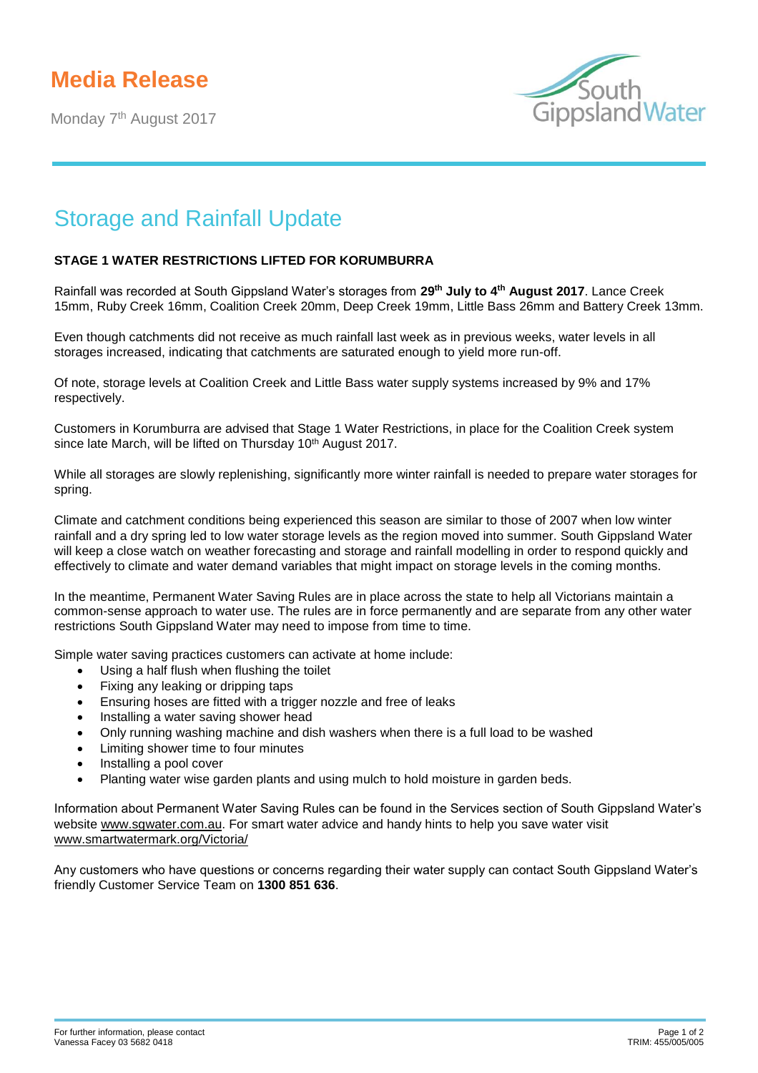## **Media Release**

Monday 7<sup>th</sup> August 2017



## Storage and Rainfall Update

## **STAGE 1 WATER RESTRICTIONS LIFTED FOR KORUMBURRA**

Rainfall was recorded at South Gippsland Water's storages from **29th July to 4th August 2017**. Lance Creek 15mm, Ruby Creek 16mm, Coalition Creek 20mm, Deep Creek 19mm, Little Bass 26mm and Battery Creek 13mm.

Even though catchments did not receive as much rainfall last week as in previous weeks, water levels in all storages increased, indicating that catchments are saturated enough to yield more run-off.

Of note, storage levels at Coalition Creek and Little Bass water supply systems increased by 9% and 17% respectively.

Customers in Korumburra are advised that Stage 1 Water Restrictions, in place for the Coalition Creek system since late March, will be lifted on Thursday 10<sup>th</sup> August 2017.

While all storages are slowly replenishing, significantly more winter rainfall is needed to prepare water storages for spring.

Climate and catchment conditions being experienced this season are similar to those of 2007 when low winter rainfall and a dry spring led to low water storage levels as the region moved into summer. South Gippsland Water will keep a close watch on weather forecasting and storage and rainfall modelling in order to respond quickly and effectively to climate and water demand variables that might impact on storage levels in the coming months.

In the meantime, Permanent Water Saving Rules are in place across the state to help all Victorians maintain a common-sense approach to water use. The rules are in force permanently and are separate from any other water restrictions South Gippsland Water may need to impose from time to time.

Simple water saving practices customers can activate at home include:

- Using a half flush when flushing the toilet
- Fixing any leaking or dripping taps
- Ensuring hoses are fitted with a trigger nozzle and free of leaks
- Installing a water saving shower head
- Only running washing machine and dish washers when there is a full load to be washed
- Limiting shower time to four minutes
- Installing a pool cover
- Planting water wise garden plants and using mulch to hold moisture in garden beds.

Information about Permanent Water Saving Rules can be found in the Services section of South Gippsland Water's website [www.sgwater.com.au.](http://www.sgwater.com.au/) For smart water advice and handy hints to help you save water visit [www.smartwatermark.org/Victoria/](http://www.smartwatermark.org/Victoria/)

Any customers who have questions or concerns regarding their water supply can contact South Gippsland Water's friendly Customer Service Team on **1300 851 636**.